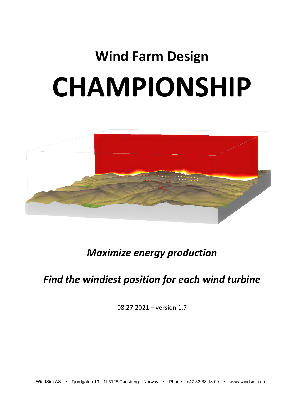# **Wind Farm Design CHAMPIONSHIP**



## *Maximize energy production*

## *Find the windiest position for each wind turbine*

08.27.2021 – version 1.7

WindSim AS • Fjordgaten 13 N-3125 Tønsberg Norway • Phone +47 33 38 18 00 • www.windsim.com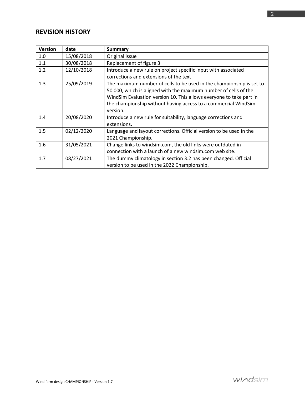### **REVISION HISTORY**

| <b>Version</b> | date       | <b>Summary</b>                                                       |
|----------------|------------|----------------------------------------------------------------------|
| 1.0            | 15/08/2018 | Original issue                                                       |
| 1.1            | 30/08/2018 | Replacement of figure 3                                              |
| 1.2            | 12/10/2018 | Introduce a new rule on project specific input with associated       |
|                |            | corrections and extensions of the text                               |
| 1.3            | 25/09/2019 | The maximum number of cells to be used in the championship is set to |
|                |            | 50 000, which is aligned with the maximum number of cells of the     |
|                |            | WindSim Evaluation version 10. This allows everyone to take part in  |
|                |            | the championship without having access to a commercial WindSim       |
|                |            | version.                                                             |
| 1.4            | 20/08/2020 | Introduce a new rule for suitability, language corrections and       |
|                |            | extensions.                                                          |
| 1.5            | 02/12/2020 | Language and layout corrections. Official version to be used in the  |
|                |            | 2021 Championship.                                                   |
| 1.6            | 31/05/2021 | Change links to windsim.com, the old links were outdated in          |
|                |            | connection with a launch of a new windsim.com web site.              |
| 1.7            | 08/27/2021 | The dummy climatology in section 3.2 has been changed. Official      |
|                |            | version to be used in the 2022 Championship.                         |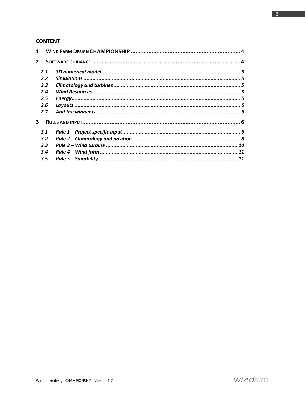#### **CONTENT**

| $\mathbf{2}$  |  |
|---------------|--|
| 2.1           |  |
| $2.2^{\circ}$ |  |
| 2.3           |  |
| 2.4           |  |
| 2.5           |  |
| 2.6           |  |
| 2.7           |  |
| 3             |  |
| 3.1           |  |
| 3.2           |  |
| 3.3           |  |
| 3.4           |  |
| 3.5           |  |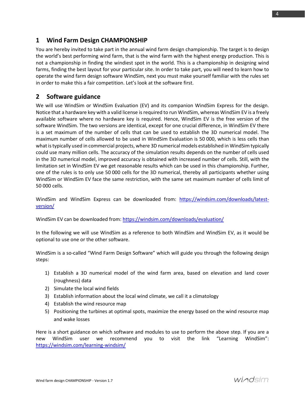#### <span id="page-3-0"></span>**1 Wind Farm Design CHAMPIONSHIP**

You are hereby invited to take part in the annual wind farm design championship. The target is to design the world's best performing wind farm, that is the wind farm with the highest energy production. This is not a championship in finding the windiest spot in the world. This is a championship in designing wind farms, finding the best layout for your particular site. In order to take part, you will need to learn how to operate the wind farm design software WindSim, next you must make yourself familiar with the rules set in order to make this a fair competition. Let's look at the software first.

#### <span id="page-3-1"></span>**2 Software guidance**

We will use WindSim or WindSim Evaluation (EV) and its companion WindSim Express for the design. Notice that a hardware key with a valid license is required to run WindSim, whereas WindSim EV is a freely available software where no hardware key is required. Hence, WindSim EV is the free version of the software WindSim. The two versions are identical, except for one crucial difference, in WindSim EV there is a set maximum of the number of cells that can be used to establish the 3D numerical model. The maximum number of cells allowed to be used in WindSim Evaluation is 50 000, which is less cells than what is typically used in commercial projects, where 3D numerical models established in WindSim typically could use many million cells. The accuracy of the simulation results depends on the number of cells used in the 3D numerical model, improved accuracy is obtained with increased number of cells. Still, with the limitation set in WindSim EV we get reasonable results which can be used in this championship. Further, one of the rules is to only use 50 000 cells for the 3D numerical, thereby all participants whether using WindSim or WindSim EV face the same restriction, with the same set maximum number of cells limit of 50 000 cells.

WindSim and WindSim Express can be downloaded from: [https://windsim.com/downloads/latest](https://windsim.com/downloads/latest-version/)[version/](https://windsim.com/downloads/latest-version/)

WindSim EV can be downloaded from:<https://windsim.com/downloads/evaluation/>

In the following we will use WindSim as a reference to both WindSim and WindSim EV, as it would be optional to use one or the other software.

WindSim is a so-called "Wind Farm Design Software" which will guide you through the following design steps:

- 1) Establish a 3D numerical model of the wind farm area, based on elevation and land cover (roughness) data
- 2) Simulate the local wind fields
- 3) Establish information about the local wind climate, we call it a climatology
- 4) Establish the wind resource map
- 5) Positioning the turbines at optimal spots, maximize the energy based on the wind resource map and wake losses

Here is a short guidance on which software and modules to use to perform the above step. If you are a new WindSim user we recommend you to visit the link "Learning WindSim": <https://windsim.com/learning-windsim/>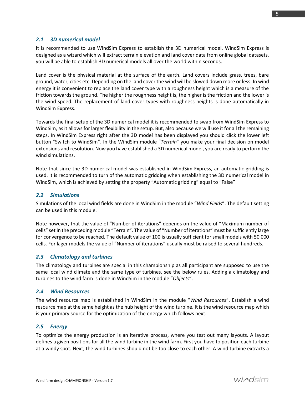#### <span id="page-4-0"></span>*2.1 3D numerical model*

It is recommended to use WindSim Express to establish the 3D numerical model. WindSim Express is designed as a wizard which will extract terrain elevation and land cover data from online global datasets, you will be able to establish 3D numerical models all over the world within seconds.

Land cover is the physical material at the surface of the earth. Land covers include grass, trees, bare ground, water, cities etc. Depending on the land cover the wind will be slowed down more or less. In wind energy it is convenient to replace the land cover type with a roughness height which is a measure of the friction towards the ground. The higher the roughness height is, the higher is the friction and the lower is the wind speed. The replacement of land cover types with roughness heights is done automatically in WindSim Express.

Towards the final setup of the 3D numerical model it is recommended to swap from WindSim Express to WindSim, as it allows for larger flexibility in the setup. But, also because we will use it for all the remaining steps. In WindSim Express right after the 3D model has been displayed you should click the lower left button "Switch to WindSim". In the WindSim module "*Terrain*" you make your final decision on model extensions and resolution. Now you have established a 3D numerical model, you are ready to perform the wind simulations.

Note that since the 3D numerical model was established in WindSim Express, an automatic gridding is used. It is recommended to turn of the automatic gridding when establishing the 3D numerical model in WindSim, which is achieved by setting the property "Automatic gridding" equal to "False"

#### <span id="page-4-1"></span>*2.2 Simulations*

Simulations of the local wind fields are done in WindSim in the module "*Wind Fields*". The default setting can be used in this module.

Note however, that the value of "Number of iterations" depends on the value of "Maximum number of cells" set in the preceding module "Terrain". The value of "Number of iterations" must be sufficiently large for convergence to be reached. The default value of 100 is usually sufficient for small models with 50 000 cells. For lager models the value of "Number of iterations" usually must be raised to several hundreds.

#### <span id="page-4-2"></span>*2.3 Climatology and turbines*

The climatology and turbines are special in this championship as all participant are supposed to use the same local wind climate and the same type of turbines, see the below rules. Adding a climatology and turbines to the wind farm is done in WindSim in the module "*Objects*".

#### <span id="page-4-3"></span>*2.4 Wind Resources*

The wind resource map is established in WindSim in the module "*Wind Resources*". Establish a wind resource map at the same height as the hub height of the wind turbine. It is the wind resource map which is your primary source for the optimization of the energy which follows next.

#### <span id="page-4-4"></span>*2.5 Energy*

To optimize the energy production is an iterative process, where you test out many layouts. A layout defines a given positions for all the wind turbine in the wind farm. First you have to position each turbine at a windy spot. Next, the wind turbines should not be too close to each other. A wind turbine extracts a

5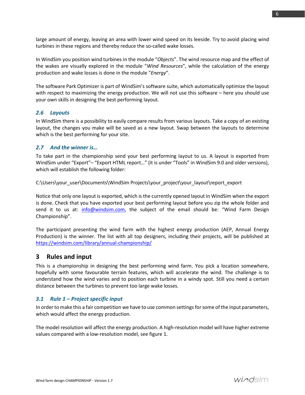large amount of energy, leaving an area with lower wind speed on its leeside. Try to avoid placing wind turbines in these regions and thereby reduce the so-called wake losses.

In WindSim you position wind turbines in the module "*Objects*". The wind resource map and the effect of the wakes are visually explored in the module "*Wind Resources*", while the calculation of the energy production and wake losses is done in the module "*Energy*".

The software Park Optimizer is part of WindSim's software suite, which automatically optimize the layout with respect to maximizing the energy production. We will not use this software – here you should use your own skills in designing the best performing layout.

#### <span id="page-5-0"></span>*2.6 Layouts*

In WindSim there is a possibility to easily compare results from various layouts. Take a copy of an existing layout, the changes you make will be saved as a new layout. Swap between the layouts to determine which is the best performing for your site.

#### <span id="page-5-1"></span>*2.7 And the winner is…*

To take part in the championship send your best performing layout to us. A layout is exported from WindSim under "Export"– "Export HTML report…" (it is under "Tools" in WindSim 9.0 and older versions), which will establish the following folder:

C:\Users\your\_user\Documents\WindSim Projects\your\_project\your\_layout\report\_export

Notice that only one layout is exported, which is the currently opened layout in WindSim when the export is done. Check that you have exported your best performing layout before you zip the whole folder and send it to us at: [info@windsim.com,](mailto:info@windsim.com) the subject of the email should be: "Wind Farm Design Championship".

The participant presenting the wind farm with the highest energy production (AEP, Annual Energy Production) is the winner. The list with all top designers, including their projects, will be published at <https://windsim.com/library/annual-championship/>

#### <span id="page-5-2"></span>**3 Rules and input**

This is a championship in designing the best performing wind farm. You pick a location somewhere, hopefully with some favourable terrain features, which will accelerate the wind. The challenge is to understand how the wind varies and to position each turbine in a windy spot. Still you need a certain distance between the turbines to prevent too large wake losses.

#### <span id="page-5-3"></span>*3.1 Rule 1 – Project specific input*

In order to make this a fair competition we have to use common settings for some of the input parameters, which would affect the energy production.

The model resolution will affect the energy production. A high-resolution model will have higher extreme values compared with a low-resolution model, see figure 1.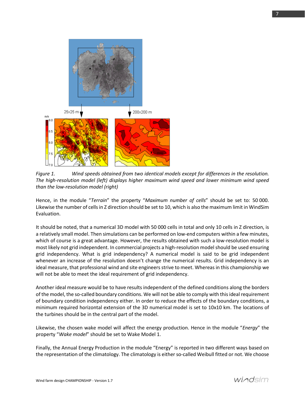

*Figure 1. Wind speeds obtained from two identical models except for differences in the resolution. The high-resolution model (left) displays higher maximum wind speed and lower minimum wind speed than the low-resolution model (right)*

Hence, in the module "*Terrain*" the property "*Maximum number of cells*" should be set to: 50 000. Likewise the number of cells in Z direction should be set to 10, which is also the maximum limit in WindSim Evaluation.

It should be noted, that a numerical 3D model with 50 000 cells in total and only 10 cells in Z direction, is a relatively small model. Then simulations can be performed on low-end computers within a few minutes, which of course is a great advantage. However, the results obtained with such a low-resolution model is most likely not grid independent. In commercial projects a high-resolution model should be used ensuring grid independency. What is grid independency? A numerical model is said to be grid independent whenever an increase of the resolution doesn't change the numerical results. Grid independency is an ideal measure, that professional wind and site engineers strive to meet. Whereas in this championship we will not be able to meet the ideal requirement of grid independency.

Another ideal measure would be to have results independent of the defined conditions along the borders of the model, the so-called boundary conditions. We will not be able to comply with this ideal requirement of boundary condition independency either. In order to reduce the effects of the boundary conditions, a minimum required horizontal extension of the 3D numerical model is set to 10x10 km. The locations of the turbines should be in the central part of the model.

Likewise, the chosen wake model will affect the energy production. Hence in the module "*Energy*" the property "*Wake model*" should be set to Wake Model 1.

Finally, the Annual Energy Production in the module "Energy" is reported in two different ways based on the representation of the climatology. The climatology is either so-called Weibull fitted or not. We choose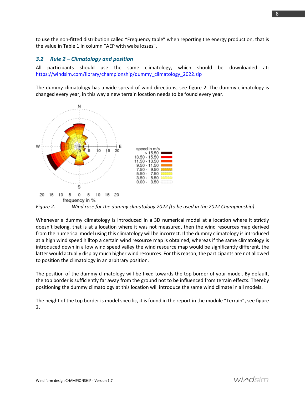to use the non-fitted distribution called "Frequency table" when reporting the energy production, that is the value in Table 1 in column "AEP with wake losses".

#### <span id="page-7-0"></span>*3.2 Rule 2 – Climatology and position*

All participants should use the same climatology, which should be downloaded at: [https://windsim.com/library/championship/dummy\\_climatology\\_2022.zip](https://windsim.com/library/championship/dummy_climatology_2022.zip)

The dummy climatology has a wide spread of wind directions, see figure 2. The dummy climatology is changed every year, in this way a new terrain location needs to be found every year.



*Figure 2. Wind rose for the dummy climatology 2022 (to be used in the 2022 Championship)*

Whenever a dummy climatology is introduced in a 3D numerical model at a location where it strictly doesn't belong, that is at a location where it was not measured, then the wind resources map derived from the numerical model using this climatology will be incorrect. If the dummy climatology is introduced at a high wind speed hilltop a certain wind resource map is obtained, whereas if the same climatology is introduced down in a low wind speed valley the wind resource map would be significantly different, the latter would actually display much higher wind resources. For this reason, the participants are not allowed to position the climatology in an arbitrary position.

The position of the dummy climatology will be fixed towards the top border of your model. By default, the top border is sufficiently far away from the ground not to be influenced from terrain effects. Thereby positioning the dummy climatology at this location will introduce the same wind climate in all models.

The height of the top border is model specific, it is found in the report in the module "Terrain", see figure 3.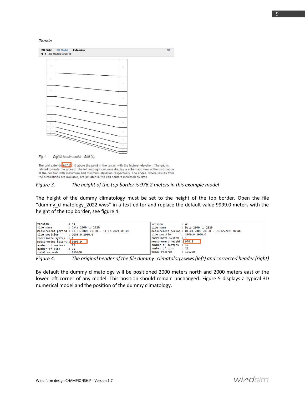**Terrain** 



The grid extends 967.2 (m) above the point in the terrain with the highest elevation. The grid is refined towards the ground. The left and right columns display a schematic view of the distribution at the position with maximum and minimum elevation respectively. The nodes, where results from the simulations are available, are situated in the cell centers indicated by dots.

#### *Figure 3. The height of the top border is 976.2 meters in this example model*

The height of the dummy climatology must be set to the height of the top border. Open the file "dummy\_climatology\_2022.wws" in a text editor and replace the default value 9999.0 meters with the height of the top border, see figure 4.

| version                                               | : 43                                                     | <i>version</i>                                        | : 43                                                     |
|-------------------------------------------------------|----------------------------------------------------------|-------------------------------------------------------|----------------------------------------------------------|
|                                                       |                                                          | site name                                             | : Data 2000 to 2020                                      |
|                                                       | measurement period : 01.01.2000 00:00 - 31.12.2021 00:00 |                                                       | measurement period : 01.01.2000 00:00 - 31.12.2021 00:00 |
| $\left  \text{site position} \right $ : 2000.0 2000.0 |                                                          | $\left  \text{site position} \right $ : 2000.0 2000.0 |                                                          |
| coordinate system : 1                                 |                                                          | coordinate system : 1                                 |                                                          |
| measurement height : 9999.0                           |                                                          | measurement height : 976.2                            |                                                          |
| number of sectors : 12                                |                                                          | $\ $ number of sectors : 12                           |                                                          |
| number of bins                                        | : 25                                                     | lnumber of bins : 25                                  |                                                          |
| total records                                         | : 175200                                                 | total records : 175200                                |                                                          |
|                                                       |                                                          |                                                       |                                                          |

*Figure 4. The original header of the file dummy\_climatology.wws (left) and corrected header (right)*

By default the dummy climatology will be positioned 2000 meters north and 2000 meters east of the lower left corner of any model. This position should remain unchanged. Figure 5 displays a typical 3D numerical model and the position of the dummy climatology.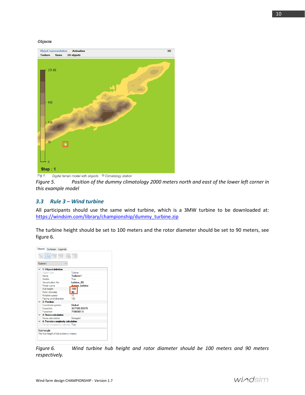#### **Objects**



Fig 1. Digital terrain model with objects Climatology station

*Figure 5. Position of the dummy climatology 2000 meters north and east of the lower left corner in this example model*

#### <span id="page-9-0"></span>*3.3 Rule 3 – Wind turbine*

All participants should use the same wind turbine, which is a 3MW turbine to be downloaded at: [https://windsim.com/library/championship/dummy\\_turbine.zip](https://windsim.com/library/championship/dummy_turbine.zip)

The turbine height should be set to 100 meters and the rotor diameter should be set to 90 meters, see figure 6.

| Turbine 1                                  |                  |  |
|--------------------------------------------|------------------|--|
| $\times$ 1: Object definition              |                  |  |
| Object type                                | Turbine          |  |
| Name                                       | <b>Turbine1</b>  |  |
| Visible                                    | True             |  |
| Visualisation file                         | turbine 80       |  |
| Power curve                                | dummy turbine    |  |
| Hub height                                 | 100              |  |
| Rotor diameter                             | 90               |  |
| Rotation speed                             | 10               |  |
| Facing wind direction                      | 180              |  |
| $\times$ 2: Position                       |                  |  |
| Coordinate system                          | Global           |  |
| X position                                 | 327189.09375     |  |
| Y position                                 | 7186507.5        |  |
| $\times$ 3: Noise calculation              |                  |  |
| Noise calculation                          | <b>Disregard</b> |  |
| $\times$ 4: Terrain complexity calculation |                  |  |
| Terrain complexity calculati True          |                  |  |

*Figure 6. Wind turbine hub height and rotor diameter should be 100 meters and 90 meters respectively.*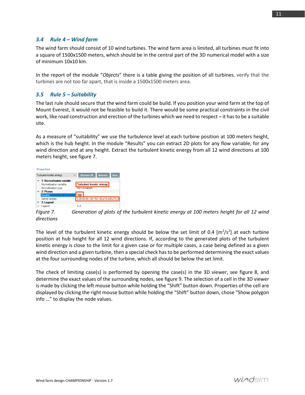#### <span id="page-10-0"></span>*3.4 Rule 4 – Wind farm*

The wind farm should consist of 10 wind turbines. The wind farm area is limited, all turbines must fit into a square of 1500x1500 meters, which should be in the central part of the 3D numerical model with a size of minimum 10x10 km.

In the report of the module "*Objects*" there is a table giving the position of all turbines, verify that the turbines are not too far apart, that is inside a 1500x1500 meters area.

#### <span id="page-10-1"></span>*3.5 Rule 5 – Suitability*

The last rule should secure that the wind farm could be build. If you position your wind farm at the top of Mount Everest, it would not be feasible to build it. There would be some practical constraints in the civil work, like road construction and erection of the turbines which we need to respect – it hasto be a suitable site.

As a measure of "suitability" we use the turbulence level at each turbine position at 100 meters height, which is the hub height. In the module "Results" you can extract 2D plots for any flow variable, for any wind direction and at any height. Extract the turbulent kinetic energy from all 12 wind directions at 100 meters height, see figure 7.



*Figure 7. Generation of plots of the turbulent kinetic energy at 100 meters height for all 12 wind directions*

The level of the turbulent kinetic energy should be below the set limit of 0.4  $[m^2/s^2]$  at each turbine position at hub height for all 12 wind directions. If, according to the generated plots of the turbulent kinetic energy is close to the limit for a given case or for multiple cases, a case being defined as a given wind direction and a given turbine, then a special check has to be performed determining the exact values at the four surrounding nodes of the turbine, which all should be below the set limit.

The check of limiting case(s) is performed by opening the case(s) in the 3D viewer, see figure 8, and determine the exact values of the surrounding nodes, see figure 9. The selection of a cell in the 3D viewer is made by clicking the left mouse button while holding the "Shift" button down. Properties of the cell are displayed by clicking the right mouse button while holding the "Shift" button down, chose "Show polygon info …" to display the node values.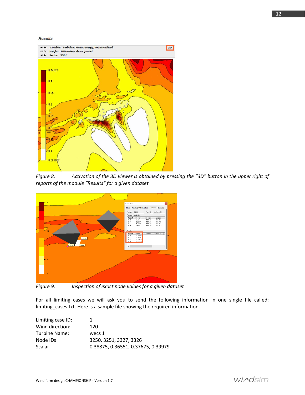#### **Results**



*Figure 8. Activation of the 3D viewer is obtained by pressing the "3D" button in the upper right of reports of the module "Results" for a given dataset*



*Figure 9. Inspection of exact node values for a given dataset*

For all limiting cases we will ask you to send the following information in one single file called: limiting\_cases.txt. Here is a sample file showing the required information.

| Limiting case ID: |                                    |
|-------------------|------------------------------------|
| Wind direction:   | 120                                |
| Turbine Name:     | wecs 1                             |
| Node IDs          | 3250, 3251, 3327, 3326             |
| Scalar            | 0.38875, 0.36551, 0.37675, 0.39979 |